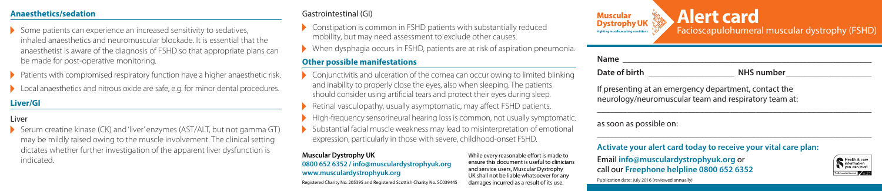## **Anaesthetics/sedation**

- $\blacktriangleright$  Some patients can experience an increased sensitivity to sedatives, inhaled anaesthetics and neuromuscular blockade. It is essential that the anaesthetist is aware of the diagnosis of FSHD so that appropriate plans can be made for post-operative monitoring.
- Patients with compromised respiratory function have a higher anaesthetic risk.
- ▶ Local anaesthetics and nitrous oxide are safe, e.g. for minor dental procedures.

# **Liver/GI**

### Liver

 Serum creatine kinase (CK) and 'liver' enzymes (AST/ALT, but not gamma GT) may be mildly raised owing to the muscle involvement. The clinical setting dictates whether further investigation of the apparent liver dysfunction is indicated.

#### Gastrointestinal (GI)

- Constipation is common in FSHD patients with substantially reduced mobility, but may need assessment to exclude other causes.
- When dysphagia occurs in FSHD, patients are at risk of aspiration pneumonia.

# **Other possible manifestations**

- $\triangleright$  Conjunctivitis and ulceration of the cornea can occur owing to limited blinking and inability to properly close the eyes, also when sleeping. The patients should consider using artificial tears and protect their eyes during sleep.
- Retinal vasculopathy, usually asymptomatic, may affect FSHD patients.
- $\blacktriangleright$  High-frequency sensorineural hearing loss is common, not usually symptomatic.
- Substantial facial muscle weakness may lead to misinterpretation of emotional expression, particularly in those with severe, childhood-onset FSHD.

#### **Muscular Dystrophy UK 0800 652 6352 / info@musculardystrophyuk.org www.musculardystrophyuk.org**

Registered Charity No. 205395 and Registered Scottish Charity No. SC039445

While every reasonable effort is made to ensure this document is useful to clinicians and service users, Muscular Dystrophy UK shall not be liable whatsoever for any damages incurred as a result of its use.



| Name          |            |
|---------------|------------|
| Date of birth | NHS number |

\_\_\_\_\_\_\_\_\_\_\_\_\_\_\_\_\_\_\_\_\_\_\_\_\_\_\_\_\_\_\_\_\_\_\_\_\_\_\_\_\_\_\_\_\_\_\_\_\_\_\_\_\_\_\_\_\_\_\_\_\_\_\_\_

\_\_\_\_\_\_\_\_\_\_\_\_\_\_\_\_\_\_\_\_\_\_\_\_\_\_\_\_\_\_\_\_\_\_\_\_\_\_\_\_\_\_\_\_\_\_\_\_\_\_\_\_\_\_\_\_\_\_\_\_\_\_\_\_

If presenting at an emergency department, contact the neurology/neuromuscular team and respiratory team at:

#### as soon as possible on:

Publication date: July 2016 (reviewed annually)

## **Activate your alert card today to receive your vital care plan:**

Email **info@musculardystrophyuk.org** or call our **Freephone helpline 0800 652 6352**